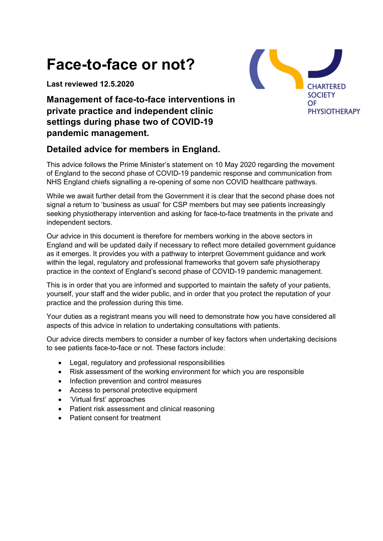# **Face-to-face or not?**

**Last reviewed 12.5.2020**



# **Management of face-to-face interventions in private practice and independent clinic settings during phase two of COVID-19 pandemic management.**

# **Detailed advice for members in England.**

This advice follows the Prime Minister's statement on 10 May 2020 regarding the movement of England to the second phase of COVID-19 pandemic response and communication from NHS England chiefs signalling a re-opening of some non COVID healthcare pathways.

While we await further detail from the Government it is clear that the second phase does not signal a return to 'business as usual' for CSP members but may see patients increasingly seeking physiotherapy intervention and asking for face-to-face treatments in the private and independent sectors.

Our advice in this document is therefore for members working in the above sectors in England and will be updated daily if necessary to reflect more detailed government guidance as it emerges. It provides you with a pathway to interpret Government guidance and work within the legal, regulatory and professional frameworks that govern safe physiotherapy practice in the context of England's second phase of COVID-19 pandemic management.

This is in order that you are informed and supported to maintain the safety of your patients, yourself, your staff and the wider public, and in order that you protect the reputation of your practice and the profession during this time.

Your duties as a registrant means you will need to demonstrate how you have considered all aspects of this advice in relation to undertaking consultations with patients.

Our advice directs members to consider a number of key factors when undertaking decisions to see patients face-to-face or not. These factors include:

- Legal, regulatory and professional responsibilities
- Risk assessment of the working environment for which you are responsible
- Infection prevention and control measures
- Access to personal protective equipment
- 'Virtual first' approaches
- Patient risk assessment and clinical reasoning
- Patient consent for treatment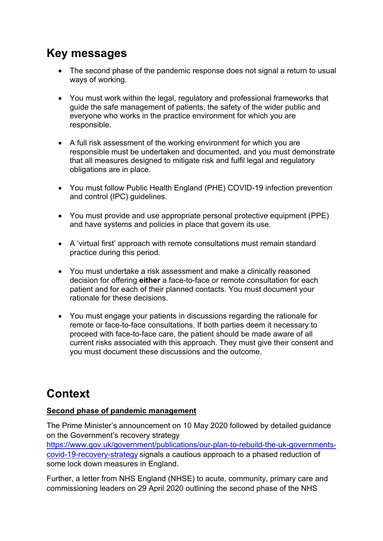# **Key messages**

- The second phase of the pandemic response does not signal a return to usual ways of working.
- You must work within the legal, regulatory and professional frameworks that guide the safe management of patients, the safety of the wider public and everyone who works in the practice environment for which you are responsible.
- A full risk assessment of the working environment for which you are responsible must be undertaken and documented, and you must demonstrate that all measures designed to mitigate risk and fulfil legal and regulatory obligations are in place.
- You must follow Public Health England (PHE) COVID-19 infection prevention and control (IPC) guidelines.
- You must provide and use appropriate personal protective equipment (PPE) and have systems and policies in place that govern its use.
- A 'virtual first' approach with remote consultations must remain standard practice during this period.
- You must undertake a risk assessment and make a clinically reasoned decision for offering **either** a face-to-face or remote consultation for each patient and for each of their planned contacts. You must document your rationale for these decisions.
- You must engage your patients in discussions regarding the rationale for remote or face-to-face consultations. If both parties deem it necessary to proceed with face-to-face care, the patient should be made aware of all current risks associated with this approach. They must give their consent and you must document these discussions and the outcome.

# **Context**

#### **Second phase of pandemic management**

The Prime Minister's announcement on 10 May 2020 followed by detailed guidance on the Government's recovery strategy

https://www.gov.uk/government/publications/our-plan-to-rebuild-the-uk-governmentscovid-19-recovery-strategy signals a cautious approach to a phased reduction of some lock down measures in England.

Further, a letter from NHS England (NHSE) to acute, community, primary care and commissioning leaders on 29 April 2020 outlining the second phase of the NHS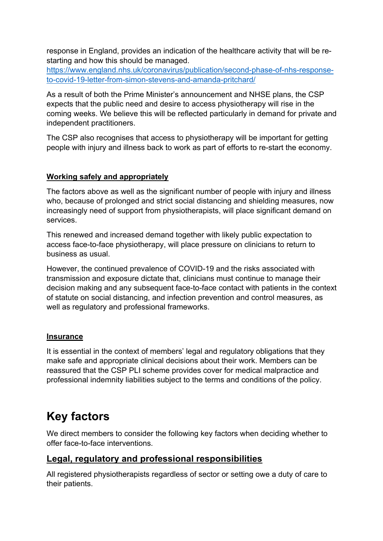response in England, provides an indication of the healthcare activity that will be restarting and how this should be managed.

https://www.england.nhs.uk/coronavirus/publication/second-phase-of-nhs-responseto-covid-19-letter-from-simon-stevens-and-amanda-pritchard/

As a result of both the Prime Minister's announcement and NHSE plans, the CSP expects that the public need and desire to access physiotherapy will rise in the coming weeks. We believe this will be reflected particularly in demand for private and independent practitioners.

The CSP also recognises that access to physiotherapy will be important for getting people with injury and illness back to work as part of efforts to re-start the economy.

#### **Working safely and appropriately**

The factors above as well as the significant number of people with injury and illness who, because of prolonged and strict social distancing and shielding measures, now increasingly need of support from physiotherapists, will place significant demand on services.

This renewed and increased demand together with likely public expectation to access face-to-face physiotherapy, will place pressure on clinicians to return to business as usual.

However, the continued prevalence of COVID-19 and the risks associated with transmission and exposure dictate that, clinicians must continue to manage their decision making and any subsequent face-to-face contact with patients in the context of statute on social distancing, and infection prevention and control measures, as well as regulatory and professional frameworks.

#### **Insurance**

It is essential in the context of members' legal and regulatory obligations that they make safe and appropriate clinical decisions about their work. Members can be reassured that the CSP PLI scheme provides cover for medical malpractice and professional indemnity liabilities subject to the terms and conditions of the policy.

# **Key factors**

We direct members to consider the following key factors when deciding whether to offer face-to-face interventions.

#### **Legal, regulatory and professional responsibilities**

All registered physiotherapists regardless of sector or setting owe a duty of care to their patients.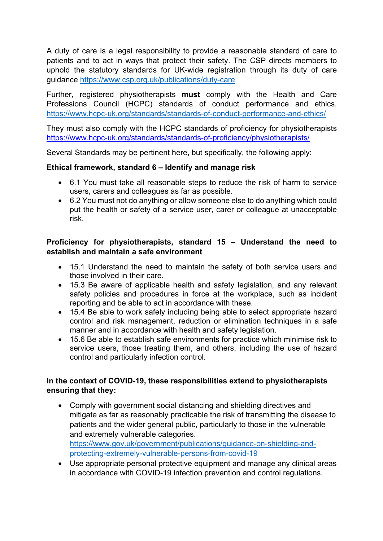A duty of care is a legal responsibility to provide a reasonable standard of care to patients and to act in ways that protect their safety. The CSP directs members to uphold the statutory standards for UK-wide registration through its duty of care guidance https://www.csp.org.uk/publications/duty-care

Further, registered physiotherapists **must** comply with the Health and Care Professions Council (HCPC) standards of conduct performance and ethics. https://www.hcpc-uk.org/standards/standards-of-conduct-performance-and-ethics/

They must also comply with the HCPC standards of proficiency for physiotherapists https://www.hcpc-uk.org/standards/standards-of-proficiency/physiotherapists/

Several Standards may be pertinent here, but specifically, the following apply:

#### **Ethical framework, standard 6 – Identify and manage risk**

- 6.1 You must take all reasonable steps to reduce the risk of harm to service users, carers and colleagues as far as possible.
- 6.2 You must not do anything or allow someone else to do anything which could put the health or safety of a service user, carer or colleague at unacceptable risk.

#### **Proficiency for physiotherapists, standard 15 – Understand the need to establish and maintain a safe environment**

- 15.1 Understand the need to maintain the safety of both service users and those involved in their care.
- 15.3 Be aware of applicable health and safety legislation, and any relevant safety policies and procedures in force at the workplace, such as incident reporting and be able to act in accordance with these.
- 15.4 Be able to work safely including being able to select appropriate hazard control and risk management, reduction or elimination techniques in a safe manner and in accordance with health and safety legislation.
- 15.6 Be able to establish safe environments for practice which minimise risk to service users, those treating them, and others, including the use of hazard control and particularly infection control.

#### **In the context of COVID-19, these responsibilities extend to physiotherapists ensuring that they:**

- Comply with government social distancing and shielding directives and mitigate as far as reasonably practicable the risk of transmitting the disease to patients and the wider general public, particularly to those in the vulnerable and extremely vulnerable categories. https://www.gov.uk/government/publications/guidance-on-shielding-andprotecting-extremely-vulnerable-persons-from-covid-19
- Use appropriate personal protective equipment and manage any clinical areas in accordance with COVID-19 infection prevention and control regulations.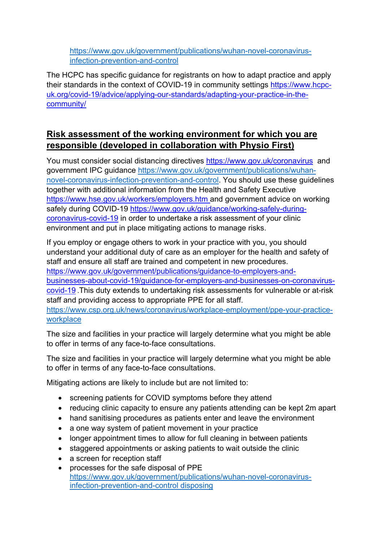https://www.gov.uk/government/publications/wuhan-novel-coronavirusinfection-prevention-and-control

The HCPC has specific guidance for registrants on how to adapt practice and apply their standards in the context of COVID-19 in community settings https://www.hcpcuk.org/covid-19/advice/applying-our-standards/adapting-your-practice-in-thecommunity/

# **Risk assessment of the working environment for which you are responsible (developed in collaboration with Physio First)**

You must consider social distancing directives https://www.gov.uk/coronavirus and government IPC guidance https://www.gov.uk/government/publications/wuhannovel-coronavirus-infection-prevention-and-control. You should use these guidelines together with additional information from the Health and Safety Executive https://www.hse.gov.uk/workers/employers.htm and government advice on working safely during COVID-19 https://www.gov.uk/guidance/working-safely-duringcoronavirus-covid-19 in order to undertake a risk assessment of your clinic environment and put in place mitigating actions to manage risks.

If you employ or engage others to work in your practice with you, you should understand your additional duty of care as an employer for the health and safety of staff and ensure all staff are trained and competent in new procedures. https://www.gov.uk/government/publications/guidance-to-employers-andbusinesses-about-covid-19/guidance-for-employers-and-businesses-on-coronaviruscovid-19 .This duty extends to undertaking risk assessments for vulnerable or at-risk staff and providing access to appropriate PPE for all staff. https://www.csp.org.uk/news/coronavirus/workplace-employment/ppe-your-practiceworkplace

The size and facilities in your practice will largely determine what you might be able to offer in terms of any face-to-face consultations.

The size and facilities in your practice will largely determine what you might be able to offer in terms of any face-to-face consultations.

Mitigating actions are likely to include but are not limited to:

- screening patients for COVID symptoms before they attend
- reducing clinic capacity to ensure any patients attending can be kept 2m apart
- hand sanitising procedures as patients enter and leave the environment
- a one way system of patient movement in your practice
- longer appointment times to allow for full cleaning in between patients
- staggered appointments or asking patients to wait outside the clinic
- a screen for reception staff
- processes for the safe disposal of PPE https://www.gov.uk/government/publications/wuhan-novel-coronavirusinfection-prevention-and-control disposing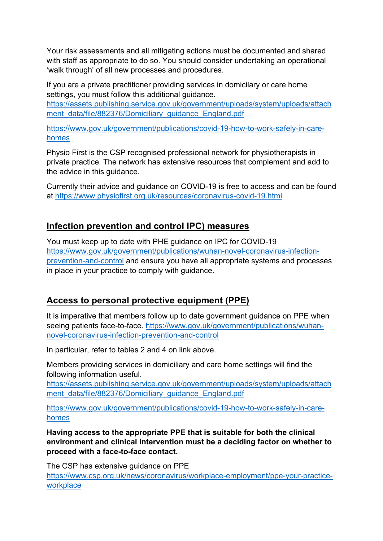Your risk assessments and all mitigating actions must be documented and shared with staff as appropriate to do so. You should consider undertaking an operational 'walk through' of all new processes and procedures.

If you are a private practitioner providing services in domicilary or care home settings, you must follow this additional guidance.

https://assets.publishing.service.gov.uk/government/uploads/system/uploads/attach ment\_data/file/882376/Domiciliary\_guidance\_England.pdf

https://www.gov.uk/government/publications/covid-19-how-to-work-safely-in-carehomes

Physio First is the CSP recognised professional network for physiotherapists in private practice. The network has extensive resources that complement and add to the advice in this guidance.

Currently their advice and guidance on COVID-19 is free to access and can be found at https://www.physiofirst.org.uk/resources/coronavirus-covid-19.html

## **Infection prevention and control IPC) measures**

You must keep up to date with PHE guidance on IPC for COVID-19 https://www.gov.uk/government/publications/wuhan-novel-coronavirus-infectionprevention-and-control and ensure you have all appropriate systems and processes in place in your practice to comply with guidance.

## **Access to personal protective equipment (PPE)**

It is imperative that members follow up to date government guidance on PPE when seeing patients face-to-face. https://www.gov.uk/government/publications/wuhannovel-coronavirus-infection-prevention-and-control

In particular, refer to tables 2 and 4 on link above.

Members providing services in domiciliary and care home settings will find the following information useful.

https://assets.publishing.service.gov.uk/government/uploads/system/uploads/attach ment\_data/file/882376/Domiciliary\_quidance\_England.pdf

https://www.gov.uk/government/publications/covid-19-how-to-work-safely-in-carehomes

**Having access to the appropriate PPE that is suitable for both the clinical environment and clinical intervention must be a deciding factor on whether to proceed with a face-to-face contact.**

The CSP has extensive guidance on PPE https://www.csp.org.uk/news/coronavirus/workplace-employment/ppe-your-practiceworkplace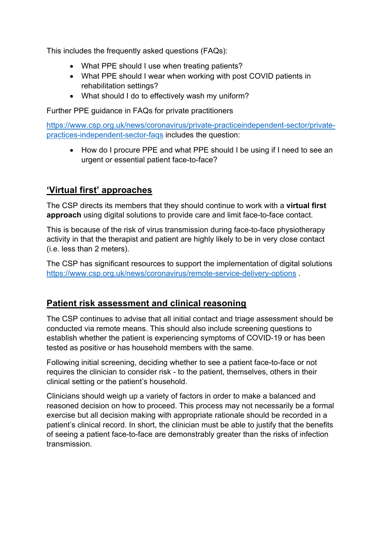This includes the frequently asked questions (FAQs):

- What PPE should I use when treating patients?
- What PPE should I wear when working with post COVID patients in rehabilitation settings?
- What should I do to effectively wash my uniform?

Further PPE guidance in FAQs for private practitioners

https://www.csp.org.uk/news/coronavirus/private-practiceindependent-sector/privatepractices-independent-sector-faqs includes the question:

• How do I procure PPE and what PPE should I be using if I need to see an urgent or essential patient face-to-face?

# **'Virtual first' approaches**

The CSP directs its members that they should continue to work with a **virtual first approach** using digital solutions to provide care and limit face-to-face contact.

This is because of the risk of virus transmission during face-to-face physiotherapy activity in that the therapist and patient are highly likely to be in very close contact (i.e. less than 2 meters).

The CSP has significant resources to support the implementation of digital solutions https://www.csp.org.uk/news/coronavirus/remote-service-delivery-options .

## **Patient risk assessment and clinical reasoning**

The CSP continues to advise that all initial contact and triage assessment should be conducted via remote means. This should also include screening questions to establish whether the patient is experiencing symptoms of COVID-19 or has been tested as positive or has household members with the same.

Following initial screening, deciding whether to see a patient face-to-face or not requires the clinician to consider risk - to the patient, themselves, others in their clinical setting or the patient's household.

Clinicians should weigh up a variety of factors in order to make a balanced and reasoned decision on how to proceed. This process may not necessarily be a formal exercise but all decision making with appropriate rationale should be recorded in a patient's clinical record. In short, the clinician must be able to justify that the benefits of seeing a patient face-to-face are demonstrably greater than the risks of infection transmission.